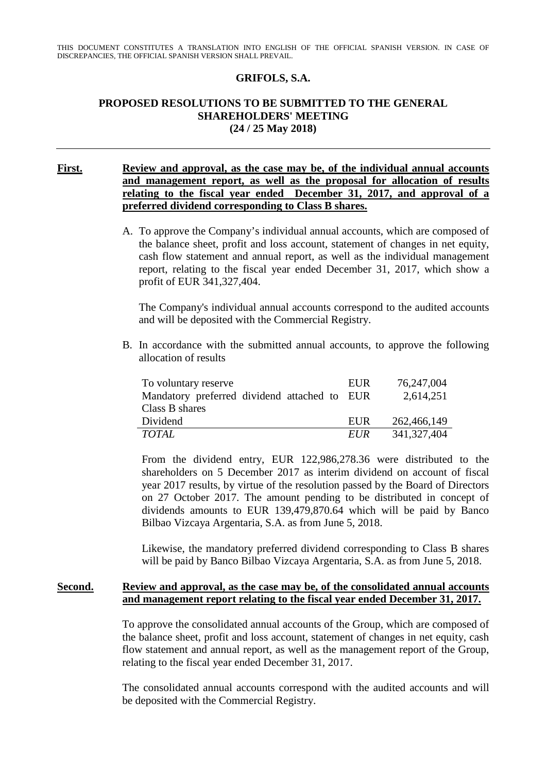### **GRIFOLS, S.A.**

# **PROPOSED RESOLUTIONS TO BE SUBMITTED TO THE GENERAL SHAREHOLDERS' MEETING (24 / 25 May 2018)**

### **First. Review and approval, as the case may be, of the individual annual accounts and management report, as well as the proposal for allocation of results relating to the fiscal year ended December 31, 2017, and approval of a preferred dividend corresponding to Class B shares.**

A. To approve the Company's individual annual accounts, which are composed of the balance sheet, profit and loss account, statement of changes in net equity, cash flow statement and annual report, as well as the individual management report, relating to the fiscal year ended December 31, 2017, which show a profit of EUR 341,327,404.

The Company's individual annual accounts correspond to the audited accounts and will be deposited with the Commercial Registry.

B. In accordance with the submitted annual accounts, to approve the following allocation of results

| To voluntary reserve                         | EUR        | 76,247,004    |
|----------------------------------------------|------------|---------------|
| Mandatory preferred dividend attached to EUR |            | 2,614,251     |
| Class B shares                               |            |               |
| Dividend                                     | EUR        | 262,466,149   |
| <b>TOTAL</b>                                 | <i>EUR</i> | 341, 327, 404 |

From the dividend entry, EUR 122,986,278.36 were distributed to the shareholders on 5 December 2017 as interim dividend on account of fiscal year 2017 results, by virtue of the resolution passed by the Board of Directors on 27 October 2017. The amount pending to be distributed in concept of dividends amounts to EUR 139,479,870.64 which will be paid by Banco Bilbao Vizcaya Argentaria, S.A. as from June 5, 2018.

Likewise, the mandatory preferred dividend corresponding to Class B shares will be paid by Banco Bilbao Vizcaya Argentaria, S.A. as from June 5, 2018.

#### **Second. Review and approval, as the case may be, of the consolidated annual accounts and management report relating to the fiscal year ended December 31, 2017.**

To approve the consolidated annual accounts of the Group, which are composed of the balance sheet, profit and loss account, statement of changes in net equity, cash flow statement and annual report, as well as the management report of the Group, relating to the fiscal year ended December 31, 2017.

The consolidated annual accounts correspond with the audited accounts and will be deposited with the Commercial Registry.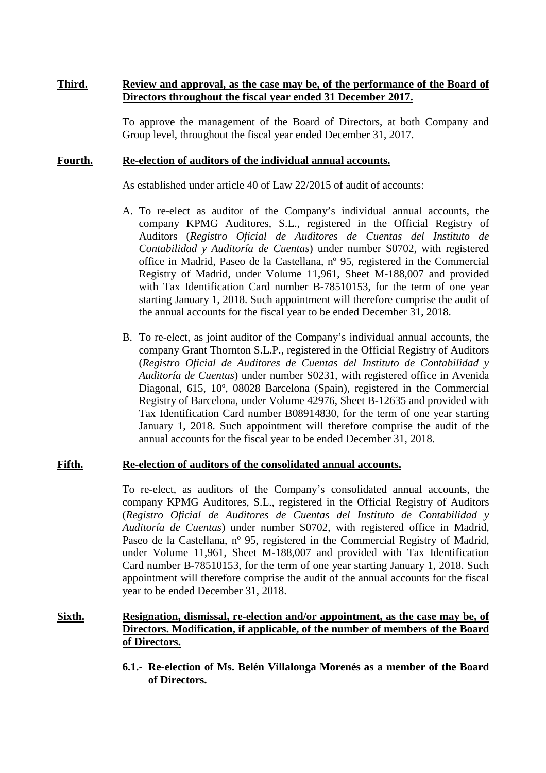### **Third. Review and approval, as the case may be, of the performance of the Board of Directors throughout the fiscal year ended 31 December 2017.**

To approve the management of the Board of Directors, at both Company and Group level, throughout the fiscal year ended December 31, 2017.

### **Fourth. Re-election of auditors of the individual annual accounts.**

As established under article 40 of Law 22/2015 of audit of accounts:

- A. To re-elect as auditor of the Company's individual annual accounts, the company KPMG Auditores, S.L., registered in the Official Registry of Auditors (*Registro Oficial de Auditores de Cuentas del Instituto de Contabilidad y Auditoría de Cuentas*) under number S0702, with registered office in Madrid, Paseo de la Castellana, nº 95, registered in the Commercial Registry of Madrid, under Volume 11,961, Sheet M-188,007 and provided with Tax Identification Card number B-78510153, for the term of one year starting January 1, 2018. Such appointment will therefore comprise the audit of the annual accounts for the fiscal year to be ended December 31, 2018.
- B. To re-elect, as joint auditor of the Company's individual annual accounts, the company Grant Thornton S.L.P., registered in the Official Registry of Auditors (*Registro Oficial de Auditores de Cuentas del Instituto de Contabilidad y Auditoría de Cuentas*) under number S0231, with registered office in Avenida Diagonal, 615, 10º, 08028 Barcelona (Spain), registered in the Commercial Registry of Barcelona, under Volume 42976, Sheet B-12635 and provided with Tax Identification Card number B08914830, for the term of one year starting January 1, 2018. Such appointment will therefore comprise the audit of the annual accounts for the fiscal year to be ended December 31, 2018.

### **Fifth. Re-election of auditors of the consolidated annual accounts.**

To re-elect, as auditors of the Company's consolidated annual accounts, the company KPMG Auditores, S.L., registered in the Official Registry of Auditors (*Registro Oficial de Auditores de Cuentas del Instituto de Contabilidad y Auditoría de Cuentas*) under number S0702, with registered office in Madrid, Paseo de la Castellana, nº 95, registered in the Commercial Registry of Madrid, under Volume 11,961, Sheet M-188,007 and provided with Tax Identification Card number B-78510153, for the term of one year starting January 1, 2018. Such appointment will therefore comprise the audit of the annual accounts for the fiscal year to be ended December 31, 2018.

# **Sixth. Resignation, dismissal, re-election and/or appointment, as the case may be, of Directors. Modification, if applicable, of the number of members of the Board of Directors.**

**6.1.- Re-election of Ms. Belén Villalonga Morenés as a member of the Board of Directors.**